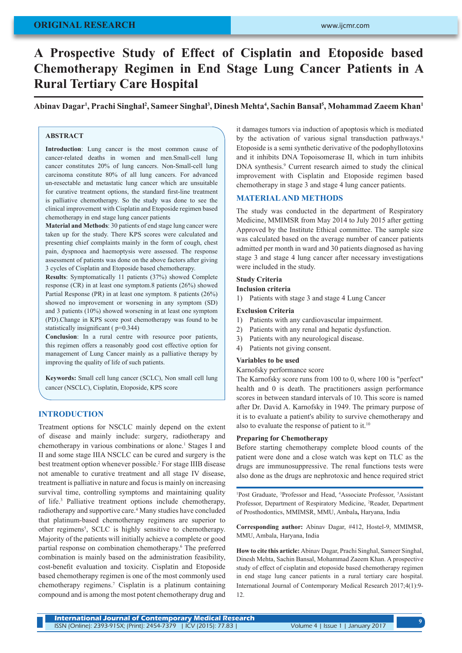# **ORIGINAL RESEARCH**

# **A Prospective Study of Effect of Cisplatin and Etoposide based Chemotherapy Regimen in End Stage Lung Cancer Patients in A Rural Tertiary Care Hospital**

**Abinav Dagar1 , Prachi Singhal2 , Sameer Singhal3 , Dinesh Mehta4 , Sachin Bansal5 , Mohammad Zaeem Khan1**

# **ABSTRACT**

**Introduction**: Lung cancer is the most common cause of cancer-related deaths in women and men.Small-cell lung cancer constitutes 20% of lung cancers. Non-Small-cell lung carcinoma constitute 80% of all lung cancers. For advanced un-resectable and metastatic lung cancer which are unsuitable for curative treatment options, the standard first-line treatment is palliative chemotherapy. So the study was done to see the clinical improvement with Cisplatin and Etoposide regimen based chemotherapy in end stage lung cancer patients

**Material and Methods**: 30 patients of end stage lung cancer were taken up for the study. There KPS scores were calculated and presenting chief complaints mainly in the form of cough, chest pain, dyspnoea and haemoptysis were assessed. The response assessment of patients was done on the above factors after giving 3 cycles of Cisplatin and Etoposide based chemotherapy.

**Results**: Symptomatically 11 patients (37%) showed Complete response (CR) in at least one symptom.8 patients (26%) showed Partial Response (PR) in at least one symptom. 8 patients (26%) showed no improvement or worsening in any symptom (SD) and 3 patients (10%) showed worsening in at least one symptom (PD).Change in KPS score post chemotherapy was found to be statistically insignificant ( p=0.344)

**Conclusion**: In a rural centre with resource poor patients, this regimen offers a reasonably good cost effective option for management of Lung Cancer mainly as a palliative therapy by improving the quality of life of such patients.

**Keywords:** Small cell lung cancer (SCLC), Non small cell lung cancer (NSCLC), Cisplatin, Etoposide, KPS score

## **INTRODUCTION**

Treatment options for NSCLC mainly depend on the extent of disease and mainly include: surgery, radiotherapy and chemotherapy in various combinations or alone.<sup>1</sup> Stages I and II and some stage IIIA NSCLC can be cured and surgery is the best treatment option whenever possible.2 For stage IIIB disease not amenable to curative treatment and all stage IV disease, treatment is palliative in nature and focus is mainly on increasing survival time, controlling symptoms and maintaining quality of life.3 Palliative treatment options include chemotherapy, radiotherapy and supportive care.<sup>4</sup> Many studies have concluded that platinum-based chemotherapy regimens are superior to other regimens<sup>5</sup>, SCLC is highly sensitive to chemotherapy. Majority of the patients will initially achieve a complete or good partial response on combination chemotherapy.<sup>6</sup> The preferred combination is mainly based on the administration feasibility, cost-benefit evaluation and toxicity. Cisplatin and Etoposide based chemotherapy regimen is one of the most commonly used chemotherapy regimens.7 Cisplatin is a platinum containing compound and is among the most potent chemotherapy drug and

it damages tumors via induction of apoptosis which is mediated by the activation of various signal transduction pathways.<sup>8</sup> Etoposide is a semi synthetic derivative of the podophyllotoxins and it inhibits DNA Topoisomerase II, which in turn inhibits DNA synthesis.<sup>9</sup> Current research aimed to study the clinical improvement with Cisplatin and Etoposide regimen based chemotherapy in stage 3 and stage 4 lung cancer patients.

## **MATERIAL AND METHODS**

The study was conducted in the department of Respiratory Medicine, MMIMSR from May 2014 to July 2015 after getting Approved by the Institute Ethical committee. The sample size was calculated based on the average number of cancer patients admitted per month in ward and 30 patients diagnosed as having stage 3 and stage 4 lung cancer after necessary investigations were included in the study.

## **Study Criteria**

### **Inclusion criteria**

1) Patients with stage 3 and stage 4 Lung Cancer

#### **Exclusion Criteria**

- 1) Patients with any cardiovascular impairment.
- 2) Patients with any renal and hepatic dysfunction.
- 3) Patients with any neurological disease.
- 4) Patients not giving consent.

## **Variables to be used**

Karnofsky performance score

The Karnofsky score runs from 100 to 0, where 100 is "perfect" health and 0 is death. The practitioners assign performance scores in between standard intervals of 10. This score is named after Dr. David A. Karnofsky in 1949. The primary purpose of it is to evaluate a patient's ability to survive chemotherapy and also to evaluate the response of patient to it.<sup>10</sup>

#### **Preparing for Chemotherapy**

Before starting chemotherapy complete blood counts of the patient were done and a close watch was kept on TLC as the drugs are immunosuppressive. The renal functions tests were also done as the drugs are nephrotoxic and hence required strict

<sup>1</sup>Post Graduate, <sup>3</sup>Professor and Head, <sup>4</sup>Associate Professor, <sup>5</sup>Assistant Professor, Department of Respiratory Medicine, 2 Reader, Department of Prosthodontics, MMIMSR, MMU, Ambala**,** Haryana, India

**Corresponding author:** Abinav Dagar, #412, Hostel-9, MMIMSR, MMU, Ambala, Haryana, India

**How to cite this article:** Abinav Dagar, Prachi Singhal, Sameer Singhal, Dinesh Mehta, Sachin Bansal, Mohammad Zaeem Khan. A prospective study of effect of cisplatin and etoposide based chemotherapy regimen in end stage lung cancer patients in a rural tertiary care hospital. International Journal of Contemporary Medical Research 2017;4(1):9- 12.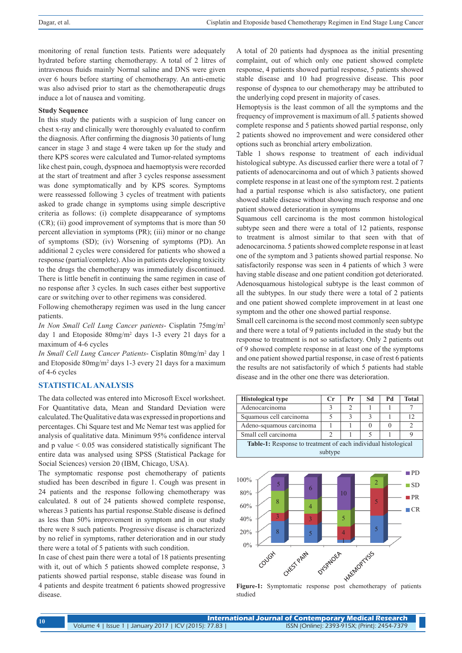monitoring of renal function tests. Patients were adequately hydrated before starting chemotherapy. A total of 2 litres of intravenous fluids mainly Normal saline and DNS were given over 6 hours before starting of chemotherapy. An anti-emetic was also advised prior to start as the chemotherapeutic drugs induce a lot of nausea and vomiting.

#### **Study Sequence**

In this study the patients with a suspicion of lung cancer on chest x-ray and clinically were thoroughly evaluated to confirm the diagnosis. After confirming the diagnosis 30 patients of lung cancer in stage 3 and stage 4 were taken up for the study and there KPS scores were calculated and Tumor-related symptoms like chest pain, cough, dyspnoea and haemoptysis were recorded at the start of treatment and after 3 cycles response assessment was done symptomatically and by KPS scores. Symptoms were reassessed following 3 cycles of treatment with patients asked to grade change in symptoms using simple descriptive criteria as follows: (i) complete disappearance of symptoms (CR); (ii) good improvement of symptoms that is more than 50 percent alleviation in symptoms (PR); (iii) minor or no change of symptoms (SD); (iv) Worsening of symptoms (PD). An additional 2 cycles were considered for patients who showed a response (partial/complete). Also in patients developing toxicity to the drugs the chemotherapy was immediately discontinued. There is little benefit in continuing the same regimen in case of no response after 3 cycles. In such cases either best supportive care or switching over to other regimens was considered.

Following chemotherapy regimen was used in the lung cancer patients.

*In Non Small Cell Lung Cancer patients*- Cisplatin 75mg/m2 day 1 and Etoposide 80mg/m2 days 1-3 every 21 days for a maximum of 4-6 cycles

*In Small Cell Lung Cancer Patients*- Cisplatin 80mg/m2 day 1 and Etoposide 80mg/m2 days 1-3 every 21 days for a maximum of 4-6 cycles

## **STATISTICAL ANALYSIS**

The data collected was entered into Microsoft Excel worksheet. For Quantitative data, Mean and Standard Deviation were calculated. The Qualitative data was expressed in proportions and percentages. Chi Square test and Mc Nemar test was applied for analysis of qualitative data. Minimum 95% confidence interval and p value < 0.05 was considered statistically significant The entire data was analysed using SPSS (Statistical Package for Social Sciences) version 20 (IBM, Chicago, USA).

The symptomatic response post chemotherapy of patients studied has been described in figure 1. Cough was present in 24 patients and the response following chemotherapy was calculated. 8 out of 24 patients showed complete response, whereas 3 patients has partial response.Stable disease is defined as less than 50% improvement in symptom and in our study there were 8 such patients. Progressive disease is characterized by no relief in symptoms, rather deterioration and in our study there were a total of 5 patients with such condition.

In case of chest pain there were a total of 18 patients presenting with it, out of which 5 patients showed complete response, 3 patients showed partial response, stable disease was found in 4 patients and despite treatment 6 patients showed progressive disease.

A total of 20 patients had dyspnoea as the initial presenting complaint, out of which only one patient showed complete response, 4 patients showed partial response, 5 patients showed stable disease and 10 had progressive disease. This poor response of dyspnea to our chemotherapy may be attributed to the underlying copd present in majority of cases.

Hemoptysis is the least common of all the symptoms and the frequency of improvement is maximum of all. 5 patients showed complete response and 5 patients showed partial response, only 2 patients showed no improvement and were considered other options such as bronchial artery embolization.

Table 1 shows response to treatment of each individual histological subtype. As discussed earlier there were a total of 7 patients of adenocarcinoma and out of which 3 patients showed complete response in at least one of the symptom rest. 2 patients had a partial response which is also satisfactory, one patient showed stable disease without showing much response and one patient showed deterioration in symptoms

Squamous cell carcinoma is the most common histological subtype seen and there were a total of 12 patients, response to treatment is almost similar to that seen with that of adenocarcinoma. 5 patients showed complete response in at least one of the symptom and 3 patients showed partial response. No satisfactorily response was seen in 4 patients of which 3 were having stable disease and one patient condition got deteriorated. Adenosquamous histological subtype is the least common of all the subtypes. In our study there were a total of 2 patients and one patient showed complete improvement in at least one symptom and the other one showed partial response.

Small cell carcinoma is the second most commonly seen subtype and there were a total of 9 patients included in the study but the response to treatment is not so satisfactory. Only 2 patients out of 9 showed complete response in at least one of the symptoms and one patient showed partial response, in case of rest 6 patients the results are not satisfactorily of which 5 patients had stable disease and in the other one there was deterioration.





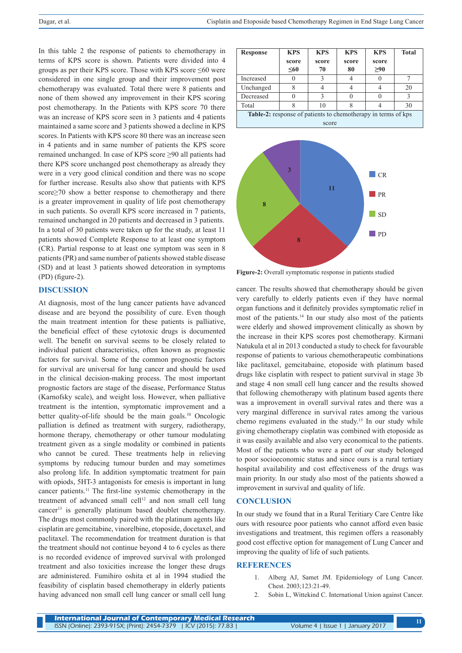In this table 2 the response of patients to chemotherapy in terms of KPS score is shown. Patients were divided into 4 groups as per their KPS score. Those with KPS score  $\leq 60$  were considered in one single group and their improvement post chemotherapy was evaluated. Total there were 8 patients and none of them showed any improvement in their KPS scoring post chemotherapy. In the Patients with KPS score 70 there was an increase of KPS score seen in 3 patients and 4 patients maintained a same score and 3 patients showed a decline in KPS scores. In Patients with KPS score 80 there was an increase seen in 4 patients and in same number of patients the KPS score remained unchanged. In case of KPS score ≥90 all patients had there KPS score unchanged post chemotherapy as already they were in a very good clinical condition and there was no scope for further increase. Results also show that patients with KPS score≥70 show a better response to chemotherapy and there is a greater improvement in quality of life post chemotherapy in such patients. So overall KPS score increased in 7 patients, remained unchanged in 20 patients and decreased in 3 patients. In a total of 30 patients were taken up for the study, at least 11 patients showed Complete Response to at least one symptom (CR). Partial response to at least one symptom was seen in 8 patients (PR) and same number of patients showed stable disease (SD) and at least 3 patients showed deteoration in symptoms (PD) (figure-2).

### **DISCUSSION**

At diagnosis, most of the lung cancer patients have advanced disease and are beyond the possibility of cure. Even though the main treatment intention for these patients is palliative, the beneficial effect of these cytotoxic drugs is documented well. The benefit on survival seems to be closely related to individual patient characteristics, often known as prognostic factors for survival. Some of the common prognostic factors for survival are universal for lung cancer and should be used in the clinical decision-making process. The most important prognostic factors are stage of the disease, Performance Status (Karnofsky scale), and weight loss. However, when palliative treatment is the intention, symptomatic improvement and a better quality-of-life should be the main goals.<sup>10</sup> Oncologic palliation is defined as treatment with surgery, radiotherapy, hormone therapy, chemotherapy or other tumour modulating treatment given as a single modality or combined in patients who cannot be cured. These treatments help in relieving symptoms by reducing tumour burden and may sometimes also prolong life. In addition symptomatic treatment for pain with opiods, 5HT-3 antagonists for emesis is important in lung cancer patients.11 The first-line systemic chemotherapy in the treatment of advanced small cell<sup>12</sup> and non small cell lung cancer<sup>13</sup> is generally platinum based doublet chemotherapy. The drugs most commonly paired with the platinum agents like cisplatin are gemcitabine, vinorelbine, etoposide, docetaxel, and paclitaxel. The recommendation for treatment duration is that the treatment should not continue beyond 4 to 6 cycles as there is no recorded evidence of improved survival with prolonged treatment and also toxicities increase the longer these drugs are administered. Fumihiro oshita et al in 1994 studied the feasibility of cisplatin based chemotherapy in elderly patients having advanced non small cell lung cancer or small cell lung

| <b>Response</b>                                                      | <b>KPS</b> | <b>KPS</b> | <b>KPS</b> | <b>KPS</b> | <b>Total</b> |
|----------------------------------------------------------------------|------------|------------|------------|------------|--------------|
|                                                                      | score      | score      | score      | score      |              |
|                                                                      | $\leq 60$  | 70         | 80         | $\geq 90$  |              |
| Increased                                                            |            |            |            |            |              |
| Unchanged                                                            |            |            |            |            | 20           |
| Decreased                                                            |            |            |            |            |              |
| Total                                                                |            | 10         |            |            | 30           |
| <b>Table-2:</b> response of patients to chemotherapy in terms of kps |            |            |            |            |              |
| score                                                                |            |            |            |            |              |



**Figure-2:** Overall symptomatic response in patients studied

cancer. The results showed that chemotherapy should be given very carefully to elderly patients even if they have normal organ functions and it definitely provides symptomatic relief in most of the patients.<sup>14</sup> In our study also most of the patients were elderly and showed improvement clinically as shown by the increase in their KPS scores post chemotherapy. Kirmani Natukula et al in 2013 conducted a study to check for favourable response of patients to various chemotherapeutic combinations like paclitaxel, gemcitabaine, etoposide with platinum based drugs like cisplatin with respect to patient survival in stage 3b and stage 4 non small cell lung cancer and the results showed that following chemotherapy with platinum based agents there was a improvement in overall survival rates and there was a very marginal difference in survival rates among the various chemo regimens evaluated in the study.15 In our study while giving chemotherapy cisplatin was combined with etoposide as it was easily available and also very economical to the patients. Most of the patients who were a part of our study belonged to poor socioeconomic status and since ours is a rural tertiary hospital availability and cost effectiveness of the drugs was main priority. In our study also most of the patients showed a improvement in survival and quality of life.

#### **CONCLUSION**

In our study we found that in a Rural Teritiary Care Centre like ours with resource poor patients who cannot afford even basic investigations and treatment, this regimen offers a reasonably good cost effective option for management of Lung Cancer and improving the quality of life of such patients.

#### **REFERENCES**

- 1. Alberg AJ, Samet JM. Epidemiology of Lung Cancer. Chest. 2003;123:21-49.
- 2. Sobin L, Wittekind C. International Union against Cancer.